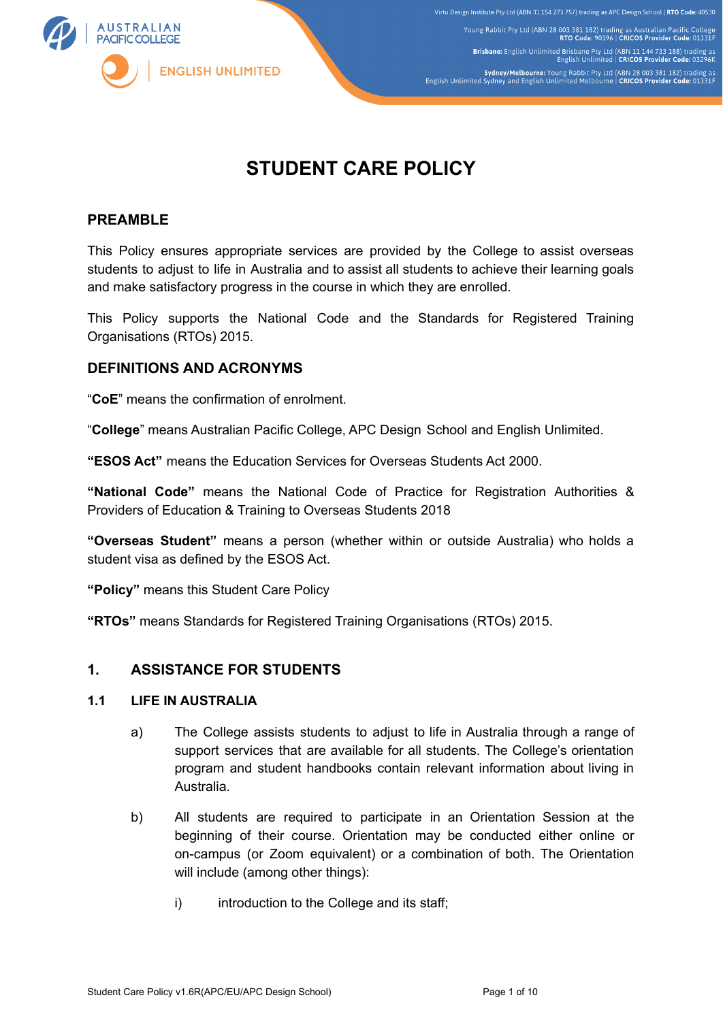

Young Rabbit Pty Ltd (ABN 28 003 381 182) trading as Australian Pacific College<br>RTO Code: 90396 | CRICOS Provider Code: 01331F Brisbane: English Unlimited Brisbane Pty Ltd (ABN 11 144 733 188) trading as<br>English Unlimited | CRICOS Provider Code: 03296K Sydney/Melbourne: Young Rabbit Pty Ltd (ABN 28 003 381 182) trading as<br>English Unlimited Sydney and English Unlimited Melbourne | CRICOS Provider Code: 01331F

# **STUDENT CARE POLICY**

# **PREAMBLE**

This Policy ensures appropriate services are provided by the College to assist overseas students to adjust to life in Australia and to assist all students to achieve their learning goals and make satisfactory progress in the course in which they are enrolled.

This Policy supports the National Code and the Standards for Registered Training Organisations (RTOs) 2015.

# **DEFINITIONS AND ACRONYMS**

"**CoE**" means the confirmation of enrolment.

"**College**" means Australian Pacific College, APC Design School and English Unlimited.

**"ESOS Act"** means the Education Services for Overseas Students Act 2000.

**"National Code"** means the National Code of Practice for Registration Authorities & Providers of Education & Training to Overseas Students 2018

**"Overseas Student"** means a person (whether within or outside Australia) who holds a student visa as defined by the ESOS Act.

**"Policy"** means this Student Care Policy

**"RTOs"** means Standards for Registered Training Organisations (RTOs) 2015.

# **1. ASSISTANCE FOR STUDENTS**

## **1.1 LIFE IN AUSTRALIA**

- a) The College assists students to adjust to life in Australia through a range of support services that are available for all students. The College's orientation program and student handbooks contain relevant information about living in Australia.
- b) All students are required to participate in an Orientation Session at the beginning of their course. Orientation may be conducted either online or on-campus (or Zoom equivalent) or a combination of both. The Orientation will include (among other things):
	- i) introduction to the College and its staff;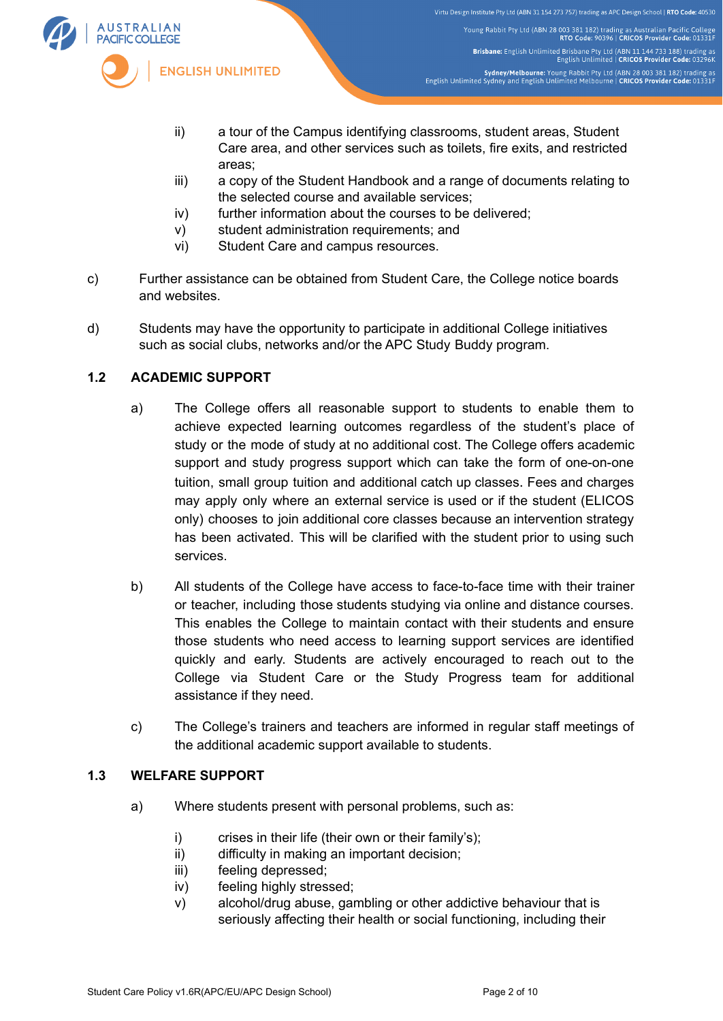

- ii) a tour of the Campus identifying classrooms, student areas, Student Care area, and other services such as toilets, fire exits, and restricted areas;
- iii) a copy of the Student Handbook and a range of documents relating to the selected course and available services;
- iv) further information about the courses to be delivered;
- v) student administration requirements; and
- vi) Student Care and campus resources.
- c) Further assistance can be obtained from Student Care, the College notice boards and websites.
- d) Students may have the opportunity to participate in additional College initiatives such as social clubs, networks and/or the APC Study Buddy program.

# **1.2 ACADEMIC SUPPORT**

- a) The College offers all reasonable support to students to enable them to achieve expected learning outcomes regardless of the student's place of study or the mode of study at no additional cost. The College offers academic support and study progress support which can take the form of one-on-one tuition, small group tuition and additional catch up classes. Fees and charges may apply only where an external service is used or if the student (ELICOS only) chooses to join additional core classes because an intervention strategy has been activated. This will be clarified with the student prior to using such services.
- b) All students of the College have access to face-to-face time with their trainer or teacher, including those students studying via online and distance courses. This enables the College to maintain contact with their students and ensure those students who need access to learning support services are identified quickly and early. Students are actively encouraged to reach out to the College via Student Care or the Study Progress team for additional assistance if they need.
- c) The College's trainers and teachers are informed in regular staff meetings of the additional academic support available to students.

# **1.3 WELFARE SUPPORT**

- a) Where students present with personal problems, such as:
	- i) crises in their life (their own or their family's);
	- ii) difficulty in making an important decision;
	- iii) feeling depressed;
	- iv) feeling highly stressed;
	- v) alcohol/drug abuse, gambling or other addictive behaviour that is seriously affecting their health or social functioning, including their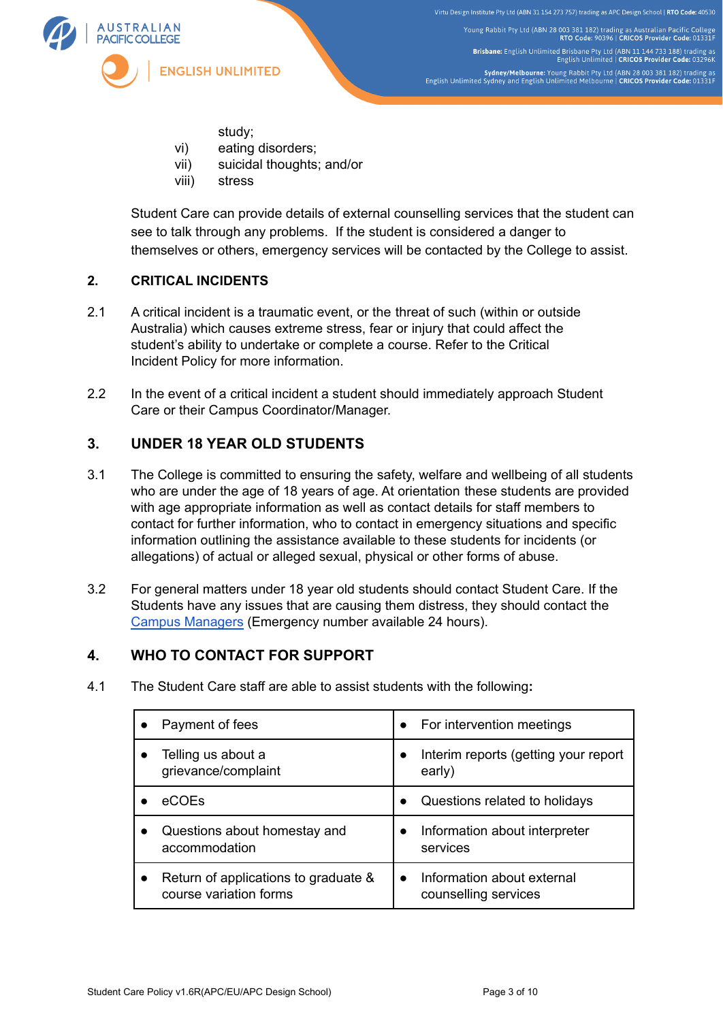

Young Rabbit Pty Ltd (ABN 28 003 381 182) trading as Australian Pacific College<br>RTO Code: 90396 | CRICOS Provider Code: 01331F Brisbane: English Unlimited Brisbane Pty Ltd (ABN 11 144 733 188) trading as<br>English Unlimited | CRICOS Provider Code: 03296K Sydney/Melbourne: Young Rabbit Pty Ltd (ABN 28 003 381 182) trading as<br>English Unlimited Sydney and English Unlimited Melbourne | CRICOS Provider Code: 01331F

- study;
- vi) eating disorders;
- vii) suicidal thoughts; and/or
- viii) stress

Student Care can provide details of external counselling services that the student can see to talk through any problems. If the student is considered a danger to themselves or others, emergency services will be contacted by the College to assist.

# **2. CRITICAL INCIDENTS**

- 2.1 A critical incident is a traumatic event, or the threat of such (within or outside Australia) which causes extreme stress, fear or injury that could affect the student's ability to undertake or complete a course. Refer to the Critical Incident Policy for more information.
- 2.2 In the event of a critical incident a student should immediately approach Student Care or their Campus Coordinator/Manager.

# **3. UNDER 18 YEAR OLD STUDENTS**

- 3.1 The College is committed to ensuring the safety, welfare and wellbeing of all students who are under the age of 18 years of age. At orientation these students are provided with age appropriate information as well as contact details for staff members to contact for further information, who to contact in emergency situations and specific information outlining the assistance available to these students for incidents (or allegations) of actual or alleged sexual, physical or other forms of abuse.
- 3.2 For general matters under 18 year old students should contact Student Care. If the Students have any issues that are causing them distress, they should contact the Campus [Managers](https://eu.edu.au/media/3737/eu-apc-students-emergency-contacts.png) (Emergency number available 24 hours).

# **4. WHO TO CONTACT FOR SUPPORT**

4.1 The Student Care staff are able to assist students with the following**:**

| Payment of fees                                                | For intervention meetings<br>$\bullet$                          |
|----------------------------------------------------------------|-----------------------------------------------------------------|
| Telling us about a<br>grievance/complaint                      | Interim reports (getting your report<br>early)                  |
| <b>eCOEs</b>                                                   | Questions related to holidays<br>$\bullet$                      |
| Questions about homestay and<br>accommodation                  | Information about interpreter<br>services                       |
| Return of applications to graduate &<br>course variation forms | Information about external<br>$\bullet$<br>counselling services |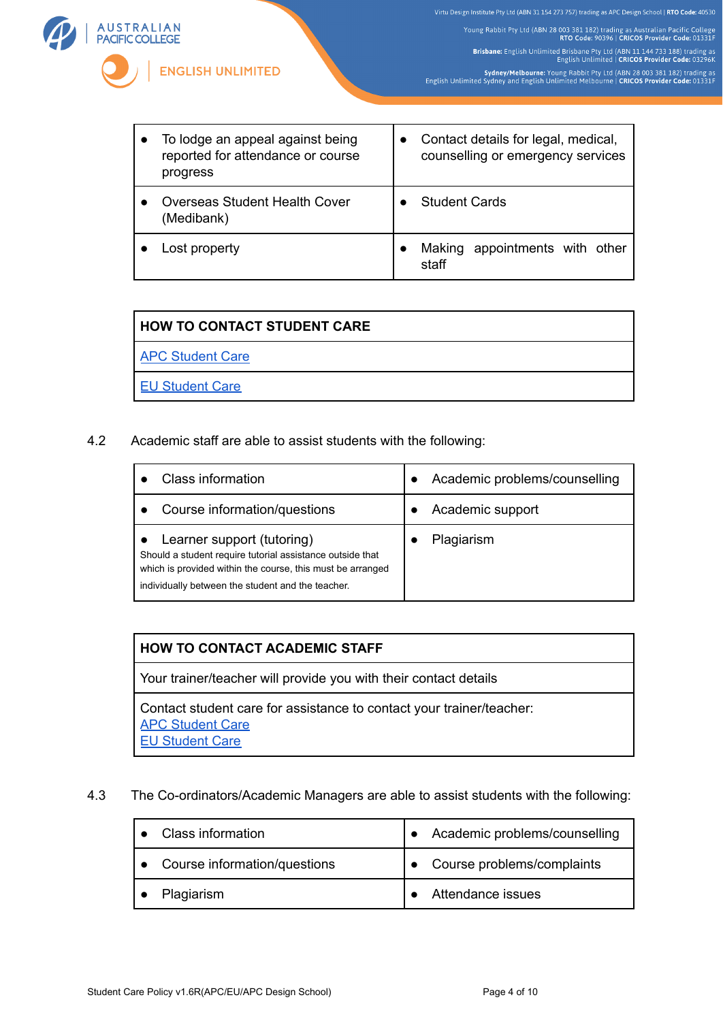Young Rabbit Pty Ltd (ABN 28 003 381 182) trading as Australian Pacific College<br>RTO Code: 90396 | CRICOS Provider Code: 01331F Brisbane: English Unlimited Brisbane Pty Ltd (ABN 11 144 733 188) trading as<br>English Unlimited | CRICOS Provider Code: 03296K Sydney/Melbourne: Young Rabbit Pty Ltd (ABN 28 003 381 182) trading as<br>English Unlimited Sydney and English Unlimited Melbourne | CRICOS Provider Code: 01331F



| To lodge an appeal against being<br>reported for attendance or course<br>progress | Contact details for legal, medical,<br>counselling or emergency services |
|-----------------------------------------------------------------------------------|--------------------------------------------------------------------------|
| Overseas Student Health Cover<br>(Medibank)                                       | <b>Student Cards</b>                                                     |
| Lost property                                                                     | Making appointments with other<br>staff                                  |

| I HOW TO CONTACT STUDENT CARE |  |  |
|-------------------------------|--|--|
| <b>APC Student Care</b>       |  |  |
| <b>EU Student Care</b>        |  |  |

4.2 Academic staff are able to assist students with the following:

| Class information                                                                                                                                                                                          | Academic problems/counselling |
|------------------------------------------------------------------------------------------------------------------------------------------------------------------------------------------------------------|-------------------------------|
| Course information/questions                                                                                                                                                                               | Academic support              |
| Learner support (tutoring)<br>Should a student require tutorial assistance outside that<br>which is provided within the course, this must be arranged<br>individually between the student and the teacher. | Plagiarism                    |

### **HOW TO CONTACT ACADEMIC STAFF**

Your trainer/teacher will provide you with their contact details

Contact student care for assistance to contact your trainer/teacher: **APC [Student](https://www.apc.edu.au/contact-us/#current-students) Care** EU [Student](https://eu.edu.au/contact-us/#current-students) Care

## 4.3 The Co-ordinators/Academic Managers are able to assist students with the following:

| <b>Class information</b>     | Academic problems/counselling |
|------------------------------|-------------------------------|
| Course information/questions | Course problems/complaints    |
| Plagiarism                   | Attendance issues             |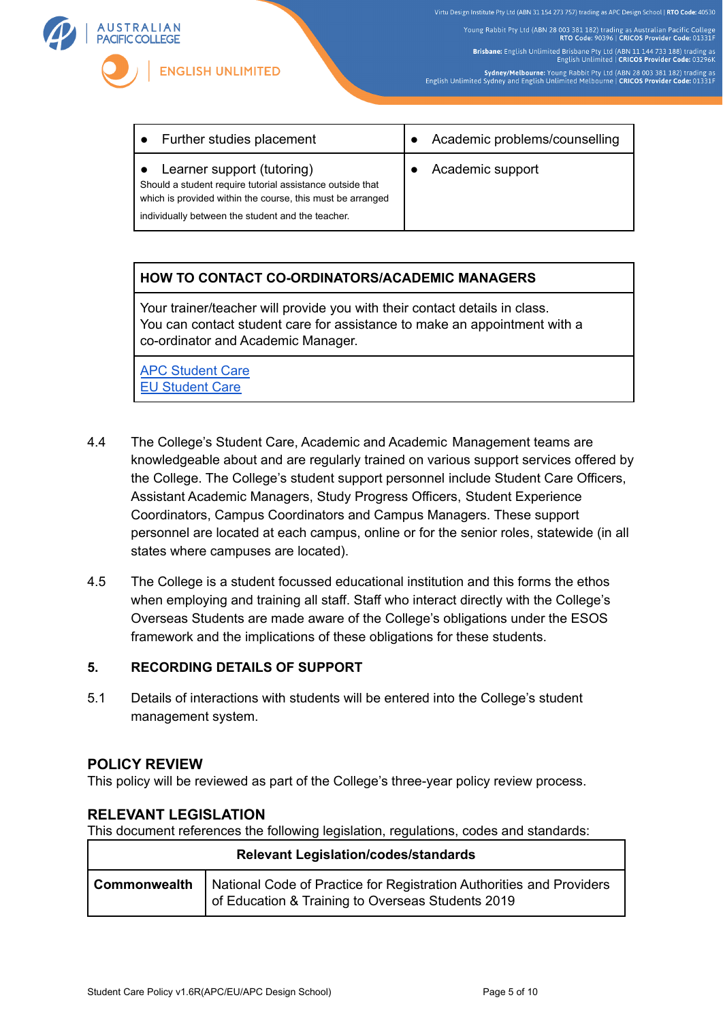

Young Rabbit Pty Ltd (ABN 28 003 381 182) trading as Australian Pacific College<br>RTO Code: 90396 | CRICOS Provider Code: 01331F Brisbane: English Unlimited Brisbane Pty Ltd (ABN 11 144 733 188) trading as<br>English Unlimited | CRICOS Provider Code: 03296K Sydney/Melbourne: Young Rabbit Pty Ltd (ABN 28 003 381 182) trading as<br>English Unlimited Sydney and English Unlimited Melbourne | CRICOS Provider Code: 01331F

Further studies placement **example in the Academic problems/counselling** Learner support (tutoring) Should a student require tutorial assistance outside that which is provided within the course, this must be arranged individually between the student and the teacher. ● Academic support

# **HOW TO CONTACT CO-ORDINATORS/ACADEMIC MANAGERS**

Your trainer/teacher will provide you with their contact details in class. You can contact student care for assistance to make an appointment with a co-ordinator and Academic Manager.

APC [Student](https://www.apc.edu.au/contact-us/#current-students) Care EU [Student](https://eu.edu.au/contact-us/#current-students) Care

- 4.4 The College's Student Care, Academic and Academic Management teams are knowledgeable about and are regularly trained on various support services offered by the College. The College's student support personnel include Student Care Officers, Assistant Academic Managers, Study Progress Officers, Student Experience Coordinators, Campus Coordinators and Campus Managers. These support personnel are located at each campus, online or for the senior roles, statewide (in all states where campuses are located).
- 4.5 The College is a student focussed educational institution and this forms the ethos when employing and training all staff. Staff who interact directly with the College's Overseas Students are made aware of the College's obligations under the ESOS framework and the implications of these obligations for these students.

# **5. RECORDING DETAILS OF SUPPORT**

5.1 Details of interactions with students will be entered into the College's student management system.

### **POLICY REVIEW**

This policy will be reviewed as part of the College's three-year policy review process.

# **RELEVANT LEGISLATION**

This document references the following legislation, regulations, codes and standards:

| <b>Relevant Legislation/codes/standards</b> |                                                                                                                                          |  |
|---------------------------------------------|------------------------------------------------------------------------------------------------------------------------------------------|--|
|                                             | Commonwealth   National Code of Practice for Registration Authorities and Providers<br>of Education & Training to Overseas Students 2019 |  |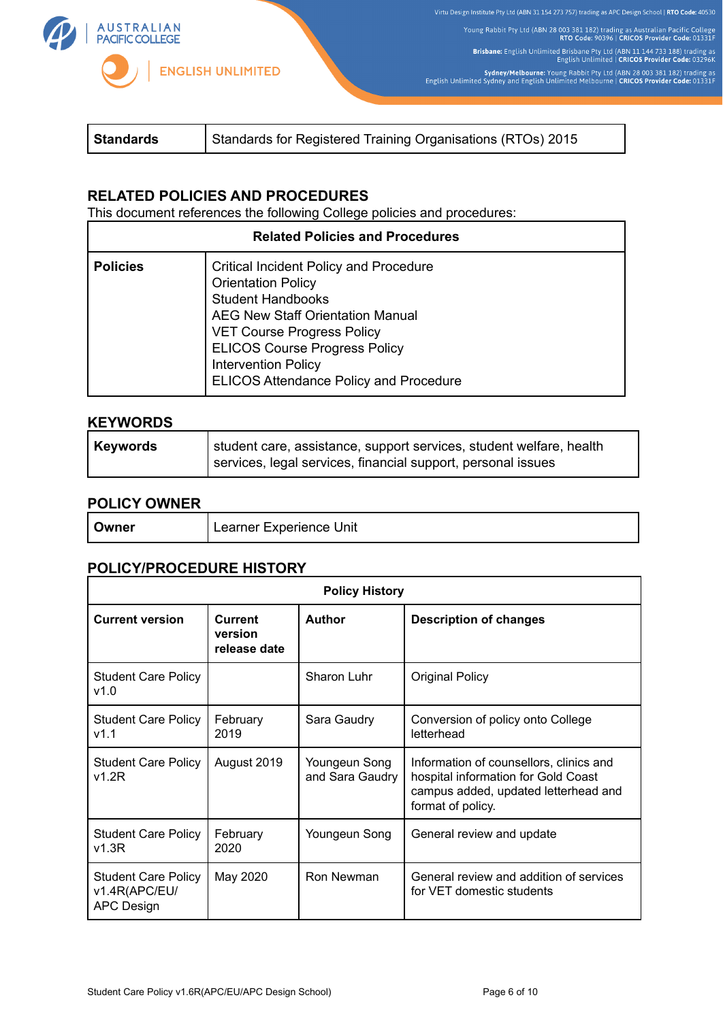

Virtu Design Institute Pty Ltd (ABN 31 154 273 757) trading as APC Design School | RTO Code: 40530 Young Rabbit Pty Ltd (ABN 28 003 381 182) trading as Australian Pacific College<br>RTO Code: 90396 | CRICOS Provider Code: 01331F Brisbane: English Unlimited Brisbane Pty Ltd (ABN 11 144 733 188) trading as<br>English Unlimited | CRICOS Provider Code: 03296K

Sydney/Melbourne: Young Rabbit Pty Ltd (ABN 28 003 381 182) trading as<br>English Unlimited Sydney and English Unlimited Melbourne | CRICOS Provider Code: 01331F

|--|

## **RELATED POLICIES AND PROCEDURES**

This document references the following College policies and procedures:

| <b>Related Policies and Procedures</b> |                                                                                                                                                                                                                                                                                                               |  |
|----------------------------------------|---------------------------------------------------------------------------------------------------------------------------------------------------------------------------------------------------------------------------------------------------------------------------------------------------------------|--|
| <b>Policies</b>                        | <b>Critical Incident Policy and Procedure</b><br><b>Orientation Policy</b><br><b>Student Handbooks</b><br><b>AEG New Staff Orientation Manual</b><br><b>VET Course Progress Policy</b><br><b>ELICOS Course Progress Policy</b><br><b>Intervention Policy</b><br><b>ELICOS Attendance Policy and Procedure</b> |  |

# **KEYWORDS**

| <b>Keywords</b> | student care, assistance, support services, student welfare, health |
|-----------------|---------------------------------------------------------------------|
|                 | services, legal services, financial support, personal issues        |

## **POLICY OWNER**

| Jwner | Unit<br>Learner Experience |
|-------|----------------------------|
|       |                            |

# **POLICY/PROCEDURE HISTORY**

| <b>Policy History</b>                                            |                                           |                                  |                                                                                                                                             |
|------------------------------------------------------------------|-------------------------------------------|----------------------------------|---------------------------------------------------------------------------------------------------------------------------------------------|
| <b>Current version</b>                                           | <b>Current</b><br>version<br>release date | <b>Author</b>                    | <b>Description of changes</b>                                                                                                               |
| <b>Student Care Policy</b><br>v1.0                               |                                           | Sharon Luhr                      | <b>Original Policy</b>                                                                                                                      |
| <b>Student Care Policy</b><br>v1.1                               | February<br>2019                          | Sara Gaudry                      | Conversion of policy onto College<br>letterhead                                                                                             |
| <b>Student Care Policy</b><br>v1.2R                              | August 2019                               | Youngeun Song<br>and Sara Gaudry | Information of counsellors, clinics and<br>hospital information for Gold Coast<br>campus added, updated letterhead and<br>format of policy. |
| <b>Student Care Policy</b><br>v1.3R                              | February<br>2020                          | Youngeun Song                    | General review and update                                                                                                                   |
| <b>Student Care Policy</b><br>v1.4R(APC/EU/<br><b>APC Design</b> | May 2020                                  | Ron Newman                       | General review and addition of services<br>for VET domestic students                                                                        |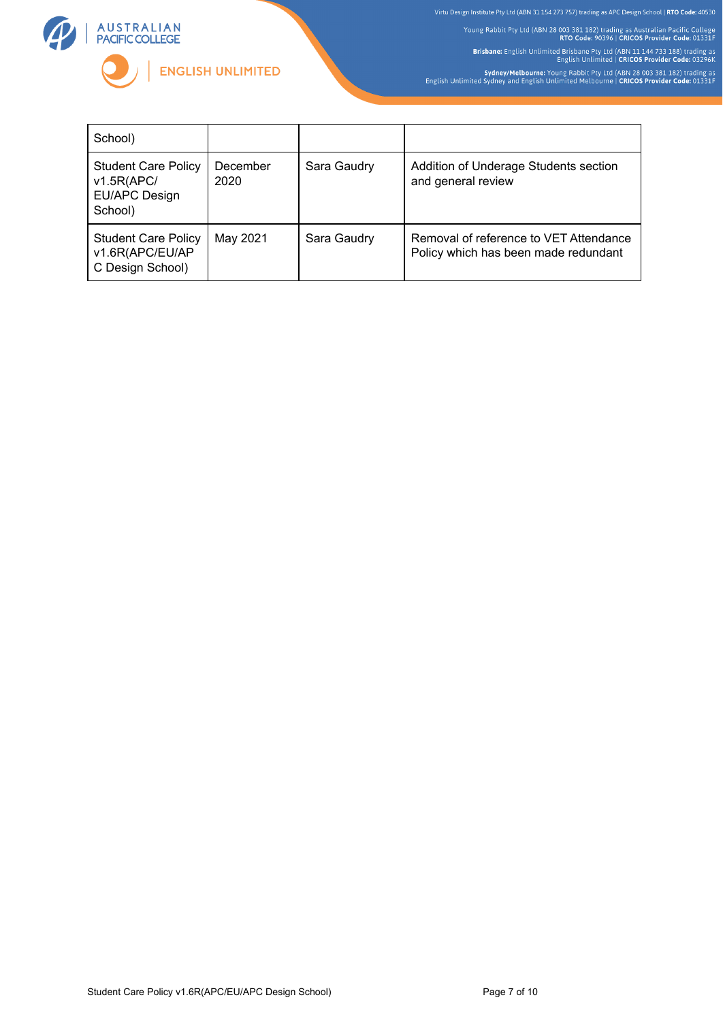

Young Rabbit Pty Ltd (ABN 28 003 381 182) trading as Australian Pacific College<br>RTO Code: 90396 | CRICOS Provider Code: 01331F Brisbane: English Unlimited Brisbane Pty Ltd (ABN 11 144 733 188) trading as<br>English Unlimited | CRICOS Provider Code: 03296K Sydney/Melbourne: Young Rabbit Pty Ltd (ABN 28 003 381 182) trading as<br>English Unlimited Sydney and English Unlimited Melbourne | CRICOS Provider Code: 01331F

School) Student Care Policy v1.5R(APC/ EU/APC Design School) December 2020 Sara Gaudry | Addition of Underage Students section and general review Student Care Policy v1.6R(APC/EU/AP C Design School) May 2021 | Sara Gaudry | Removal of reference to VET Attendance Policy which has been made redundant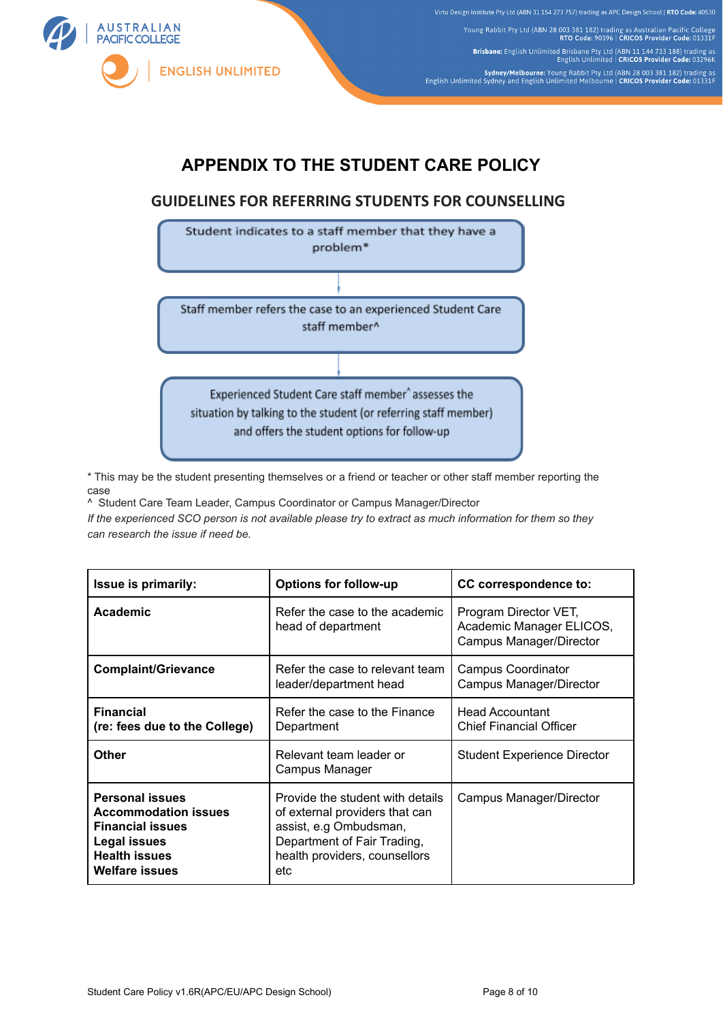

Young Rabbit Pty Ltd (ABN 28 003 381 182) trading as Australian Pacific College<br>RTO Code: 90396 | CRICOS Provider Code: 01331F Brisbane: English Unlimited Brisbane Pty Ltd (ABN 11 144 733 188) trading as<br>English Unlimited | CRICOS Provider Code: 03296K Sydney/Melbourne: Young Rabbit Pty Ltd (ABN 28 003 381 182) trading as<br>English Unlimited Sydney and English Unlimited Melbourne | CRICOS Provider Code: 01331F

# **APPENDIX TO THE STUDENT CARE POLICY**

# **GUIDELINES FOR REFERRING STUDENTS FOR COUNSELLING**



\* This may be the student presenting themselves or a friend or teacher or other staff member reporting the case

^ Student Care Team Leader, Campus Coordinator or Campus Manager/Director *If the experienced SCO person is not available please try to extract as much information for them so they can research the issue if need be.*

| Issue is primarily:                                                                                                                                      | <b>Options for follow-up</b>                                                                                                                                        | <b>CC</b> correspondence to:                                                 |
|----------------------------------------------------------------------------------------------------------------------------------------------------------|---------------------------------------------------------------------------------------------------------------------------------------------------------------------|------------------------------------------------------------------------------|
| Academic                                                                                                                                                 | Refer the case to the academic<br>head of department                                                                                                                | Program Director VET,<br>Academic Manager ELICOS,<br>Campus Manager/Director |
| <b>Complaint/Grievance</b>                                                                                                                               | Refer the case to relevant team<br>leader/department head                                                                                                           | <b>Campus Coordinator</b><br>Campus Manager/Director                         |
| <b>Financial</b><br>(re: fees due to the College)                                                                                                        | Refer the case to the Finance<br>Department                                                                                                                         | <b>Head Accountant</b><br><b>Chief Financial Officer</b>                     |
| Other                                                                                                                                                    | Relevant team leader or<br>Campus Manager                                                                                                                           | Student Experience Director                                                  |
| <b>Personal issues</b><br><b>Accommodation issues</b><br><b>Financial issues</b><br><b>Legal issues</b><br><b>Health issues</b><br><b>Welfare issues</b> | Provide the student with details<br>of external providers that can<br>assist, e.g Ombudsman,<br>Department of Fair Trading,<br>health providers, counsellors<br>etc | Campus Manager/Director                                                      |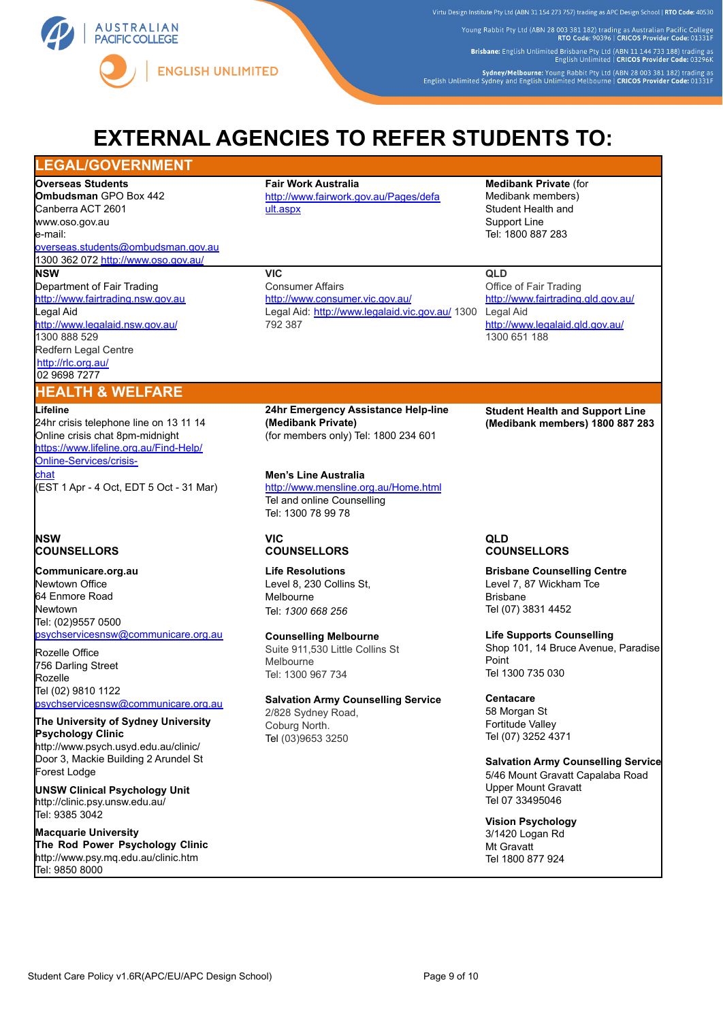

Young Rabbit Pty Ltd (ABN 28 003 381 182) trading as Australian Pacific College<br>RTO Code: 90396 | CRICOS Provider Code: 01331F Brisbane: English Unlimited Brisbane Pty Ltd (ABN 11 144 733 188) trading as<br>English Unlimited | CRICOS Provider Code: 03296K

Sydney/Melbourne: Young Rabbit Pty Ltd (ABN 28 003 381 182) trading as<br>English Unlimited Sydney and English Unlimited Melbourne | CRICOS Provider Code: 01331F

# **EXTERNAL AGENCIES TO REFER STUDENTS TO:**

### **LEGAL/GOVERNMENT**

**Overseas Students Ombudsman** GPO Box 442 Canberra ACT 2601 [www.oso.gov.au](http://www.oso.gov.au/)

e-mail:

[overseas.students@ombudsman.gov.au](mailto:overseas.students@ombudsman.gov.au) 1300 362 072 <http://www.oso.gov.au/> **NSW**

Department of Fair Trading [http://www.fairtrading.nsw.gov.au](http://www.fairtrading.nsw.gov.au/) Legal Aid <http://www.legalaid.nsw.gov.au/> 1300 888 529 Redfern Legal Centre <http://rlc.org.au/> 02 9698 7277

### **HEALTH & WELFARE**

#### **Lifeline**

24hr crisis telephone line on 13 11 14 Online crisis chat 8pm-midnight https://[www.lifeline.org.au/Find-Help/](http://www.lifeline.org.au/Find-Help/Online-Services/crisis-) [Online-Services/crisis](http://www.lifeline.org.au/Find-Help/Online-Services/crisis-)chat (EST 1 Apr - 4 Oct, EDT 5 Oct - 31 Mar)

### **NSW COUNSELLORS**

**Communicare.org.au** Newtown Office 64 Enmore Road Newtown Tel: (02)9557 0500 [psychservicesnsw@communicare.org.au](mailto:psychservicesnsw@communicare.org.au)

Rozelle Office 756 Darling Street Rozelle Tel (02) 9810 1122 [psychservicesnsw@communicare.org.au](mailto:psychservicesnsw@communicare.org.au)

#### **The University of Sydney University Psychology Clinic** <http://www.psych.usyd.edu.au/clinic/>

Door 3, Mackie Building 2 Arundel St Forest Lodge

**UNSW Clinical Psychology Unit** <http://clinic.psy.unsw.edu.au/> Tel: 9385 3042

**Macquarie University The Rod Power Psychology Clinic** <http://www.psy.mq.edu.au/clinic.htm> Tel: 9850 8000

# **Fair Work Australia** [http://www.fairwork.gov.au/Pages/defa](http://www.fairwork.gov.au/Pages/default.aspx)

[ult.aspx](http://www.fairwork.gov.au/Pages/default.aspx)

**VIC**

Consumer Affairs <http://www.consumer.vic.gov.au/> Legal Aid: <http://www.legalaid.vic.gov.au/> 1300 792 387

**Medibank Private** (for Medibank members) Student Health and Support Line Tel: 1800 887 283

# **QLD**

Office of Fair Trading <http://www.fairtrading.qld.gov.au/> Legal Aid <http://www.legalaid.qld.gov.au/> 1300 651 188

**24hr Emergency Assistance Help-line (Medibank Private)** (for members only) Tel: 1800 234 601

**Men's Line Australia** <http://www.mensline.org.au/Home.html> Tel and online Counselling Tel: 1300 78 99 78

#### **VIC COUNSELLORS**

**Life Resolutions** Level 8, 230 Collins St, Melbourne Tel: *1300 668 256*

### **Counselling Melbourne**

Suite 911,530 Little Collins St Melbourne Tel: 1300 967 734

**Salvation Army Counselling Service** 2/828 Sydney Road, Coburg North. Tel (03)9653 3250

**Student Health and Support Line (Medibank members) 1800 887 283**

### **QLD COUNSELLORS**

**Brisbane Counselling Centre** Level 7, 87 Wickham Tce Brisbane Tel (07) 3831 4452

**Life Supports Counselling** Shop 101, 14 Bruce Avenue, Paradise Point Tel 1300 735 030

# **Centacare**

58 Morgan St Fortitude Valley Tel (07) 3252 4371

**Salvation Army Counselling Service** 5/46 Mount Gravatt Capalaba Road Upper Mount Gravatt Tel 07 33495046

### **Vision Psychology**

3/1420 Logan Rd Mt Gravatt Tel 1800 877 924